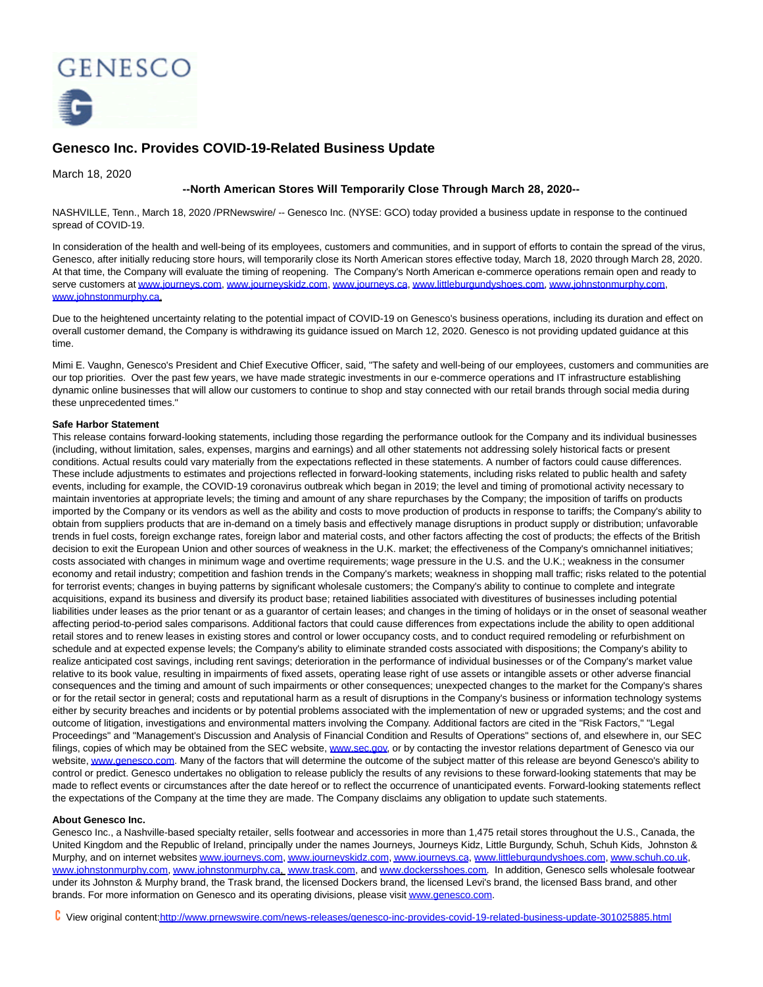

# **Genesco Inc. Provides COVID-19-Related Business Update**

March 18, 2020

## **--North American Stores Will Temporarily Close Through March 28, 2020--**

NASHVILLE, Tenn., March 18, 2020 /PRNewswire/ -- Genesco Inc. (NYSE: GCO) today provided a business update in response to the continued spread of COVID-19.

In consideration of the health and well-being of its employees, customers and communities, and in support of efforts to contain the spread of the virus, Genesco, after initially reducing store hours, will temporarily close its North American stores effective today, March 18, 2020 through March 28, 2020. At that time, the Company will evaluate the timing of reopening. The Company's North American e-commerce operations remain open and ready to serve customers a[t www.journeys.com,](https://c212.net/c/link/?t=0&l=en&o=2754609-1&h=52163587&u=http%3A%2F%2Fwww.journeys.com%2F&a=www.journeys.com) [www.journeyskidz.com,](https://c212.net/c/link/?t=0&l=en&o=2754609-1&h=3796088148&u=http%3A%2F%2Fwww.journeyskidz.com%2F&a=www.journeyskidz.com) [www.journeys.ca,](https://c212.net/c/link/?t=0&l=en&o=2754609-1&h=3592797059&u=http%3A%2F%2Fwww.journeys.ca%2F&a=www.journeys.ca) [www.littleburgundyshoes.com,](https://c212.net/c/link/?t=0&l=en&o=2754609-1&h=2082726428&u=http%3A%2F%2Fwww.littleburgundyshoes.com%2F&a=www.littleburgundyshoes.com) [www.johnstonmurphy.com,](https://c212.net/c/link/?t=0&l=en&o=2754609-1&h=1542494724&u=http%3A%2F%2Fwww.johnstonmurphy.com%2F&a=www.johnstonmurphy.com) [www.johnstonmurphy.ca.](https://c212.net/c/link/?t=0&l=en&o=2754609-1&h=1096925610&u=http%3A%2F%2Fwww.johnstonmurphy.ca%2F&a=www.johnstonmurphy.ca)

Due to the heightened uncertainty relating to the potential impact of COVID-19 on Genesco's business operations, including its duration and effect on overall customer demand, the Company is withdrawing its guidance issued on March 12, 2020. Genesco is not providing updated guidance at this time.

Mimi E. Vaughn, Genesco's President and Chief Executive Officer, said, "The safety and well-being of our employees, customers and communities are our top priorities. Over the past few years, we have made strategic investments in our e-commerce operations and IT infrastructure establishing dynamic online businesses that will allow our customers to continue to shop and stay connected with our retail brands through social media during these unprecedented times."

### **Safe Harbor Statement**

This release contains forward-looking statements, including those regarding the performance outlook for the Company and its individual businesses (including, without limitation, sales, expenses, margins and earnings) and all other statements not addressing solely historical facts or present conditions. Actual results could vary materially from the expectations reflected in these statements. A number of factors could cause differences. These include adjustments to estimates and projections reflected in forward-looking statements, including risks related to public health and safety events, including for example, the COVID-19 coronavirus outbreak which began in 2019; the level and timing of promotional activity necessary to maintain inventories at appropriate levels; the timing and amount of any share repurchases by the Company; the imposition of tariffs on products imported by the Company or its vendors as well as the ability and costs to move production of products in response to tariffs; the Company's ability to obtain from suppliers products that are in-demand on a timely basis and effectively manage disruptions in product supply or distribution; unfavorable trends in fuel costs, foreign exchange rates, foreign labor and material costs, and other factors affecting the cost of products; the effects of the British decision to exit the European Union and other sources of weakness in the U.K. market; the effectiveness of the Company's omnichannel initiatives; costs associated with changes in minimum wage and overtime requirements; wage pressure in the U.S. and the U.K.; weakness in the consumer economy and retail industry; competition and fashion trends in the Company's markets; weakness in shopping mall traffic; risks related to the potential for terrorist events; changes in buying patterns by significant wholesale customers; the Company's ability to continue to complete and integrate acquisitions, expand its business and diversify its product base; retained liabilities associated with divestitures of businesses including potential liabilities under leases as the prior tenant or as a guarantor of certain leases; and changes in the timing of holidays or in the onset of seasonal weather affecting period-to-period sales comparisons. Additional factors that could cause differences from expectations include the ability to open additional retail stores and to renew leases in existing stores and control or lower occupancy costs, and to conduct required remodeling or refurbishment on schedule and at expected expense levels; the Company's ability to eliminate stranded costs associated with dispositions; the Company's ability to realize anticipated cost savings, including rent savings; deterioration in the performance of individual businesses or of the Company's market value relative to its book value, resulting in impairments of fixed assets, operating lease right of use assets or intangible assets or other adverse financial consequences and the timing and amount of such impairments or other consequences; unexpected changes to the market for the Company's shares or for the retail sector in general; costs and reputational harm as a result of disruptions in the Company's business or information technology systems either by security breaches and incidents or by potential problems associated with the implementation of new or upgraded systems; and the cost and outcome of litigation, investigations and environmental matters involving the Company. Additional factors are cited in the "Risk Factors," "Legal Proceedings" and "Management's Discussion and Analysis of Financial Condition and Results of Operations" sections of, and elsewhere in, our SEC filings, copies of which may be obtained from the SEC website, [www.sec.gov,](http://www.sec.gov/) or by contacting the investor relations department of Genesco via our website[, www.genesco.com.](http://www.genesco.com/) Many of the factors that will determine the outcome of the subject matter of this release are beyond Genesco's ability to control or predict. Genesco undertakes no obligation to release publicly the results of any revisions to these forward-looking statements that may be made to reflect events or circumstances after the date hereof or to reflect the occurrence of unanticipated events. Forward-looking statements reflect the expectations of the Company at the time they are made. The Company disclaims any obligation to update such statements.

#### **About Genesco Inc.**

Genesco Inc., a Nashville-based specialty retailer, sells footwear and accessories in more than 1,475 retail stores throughout the U.S., Canada, the United Kingdom and the Republic of Ireland, principally under the names Journeys, Journeys Kidz, Little Burgundy, Schuh, Schuh Kids, Johnston & Murphy, and on internet website[s www.journeys.com,](https://c212.net/c/link/?t=0&l=en&o=2754609-1&h=52163587&u=http%3A%2F%2Fwww.journeys.com%2F&a=www.journeys.com) [www.journeyskidz.com,](https://c212.net/c/link/?t=0&l=en&o=2754609-1&h=3796088148&u=http%3A%2F%2Fwww.journeyskidz.com%2F&a=www.journeyskidz.com) [www.journeys.ca,](https://c212.net/c/link/?t=0&l=en&o=2754609-1&h=3592797059&u=http%3A%2F%2Fwww.journeys.ca%2F&a=www.journeys.ca) [www.littleburgundyshoes.com,](https://c212.net/c/link/?t=0&l=en&o=2754609-1&h=2082726428&u=http%3A%2F%2Fwww.littleburgundyshoes.com%2F&a=www.littleburgundyshoes.com) [www.schuh.co.uk,](https://c212.net/c/link/?t=0&l=en&o=2754609-1&h=2321995447&u=http%3A%2F%2Fwww.schuh.co.uk%2F&a=www.schuh.co.uk) [www.johnstonmurphy.com,](https://c212.net/c/link/?t=0&l=en&o=2754609-1&h=1542494724&u=http%3A%2F%2Fwww.johnstonmurphy.com%2F&a=www.johnstonmurphy.com) [www.johnstonmurphy.ca,](https://c212.net/c/link/?t=0&l=en&o=2754609-1&h=1096925610&u=http%3A%2F%2Fwww.johnstonmurphy.ca%2F&a=www.johnstonmurphy.ca) [www.trask.com,](https://c212.net/c/link/?t=0&l=en&o=2754609-1&h=2838628352&u=http%3A%2F%2Fwww.trask.com%2F&a=www.trask.com) and [www.dockersshoes.com.](https://c212.net/c/link/?t=0&l=en&o=2754609-1&h=1892863963&u=http%3A%2F%2Fwww.dockersshoes.com%2F&a=www.dockersshoes.com) In addition, Genesco sells wholesale footwear under its Johnston & Murphy brand, the Trask brand, the licensed Dockers brand, the licensed Levi's brand, the licensed Bass brand, and other brands. For more information on Genesco and its operating divisions, please visi[t www.genesco.com.](https://c212.net/c/link/?t=0&l=en&o=2754609-1&h=3404670030&u=http%3A%2F%2Fwww.genesco.com%2F&a=www.genesco.com)

View original conten[t:http://www.prnewswire.com/news-releases/genesco-inc-provides-covid-19-related-business-update-301025885.html](http://www.prnewswire.com/news-releases/genesco-inc-provides-covid-19-related-business-update-301025885.html)